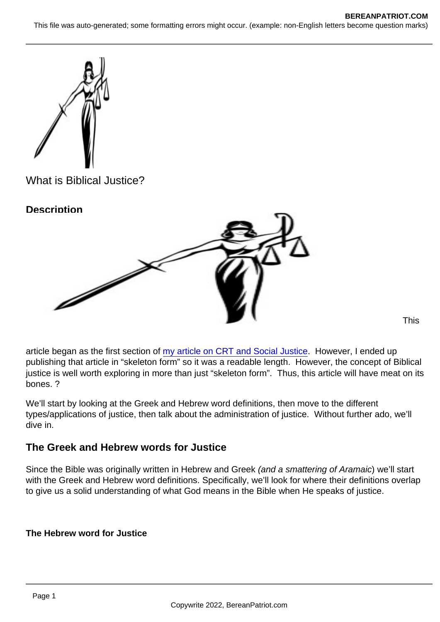What is Biblical Justice?

**Description** 

This

article began as the first section of [my article on CRT and Social Justice](https://www.bereanpatriot.com/what-are-social-justice-and-critical-race-theory-crt-and-are-they-biblical/). However, I ended up publishing that article in "skeleton form" so it was a readable length. However, the concept of Biblical justice is well worth exploring in more than just "skeleton form". Thus, this article will have meat on its bones. ?

We'll start by looking at the Greek and Hebrew word definitions, then move to the different types/applications of justice, then talk about the administration of justice. Without further ado, we'll dive in.

The Greek and Hebrew words for Justice

Since the Bible was originally written in Hebrew and Greek (and a smattering of Aramaic) we'll start with the Greek and Hebrew word definitions. Specifically, we'll look for where their definitions overlap to give us a solid understanding of what God means in the Bible when He speaks of justice.

The Hebrew word for Justice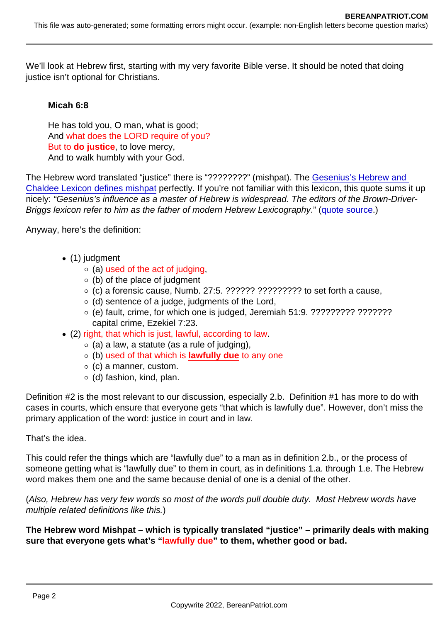We'll look at Hebrew first, starting with my very favorite Bible verse. It should be noted that doing justice isn't optional for Christians.

Micah 6:8

He has told you, O man, what is good; And what does the LORD require of you? But to do justice , to love mercy, And to walk humbly with your God.

The Hebrew word translated "justice" there is "????????" (mishpat). The Gesenius's Hebrew and [Chaldee Lexicon defines mishpat](https://www.studylight.org/lexicons/eng/hebrew/4941.html) perfectly. If you're not familiar with this lexicon, this quote sums it up nicely: "Gesenius's influence as a master of Hebrew is widespread. The editors of the Brown-Driver-Briggs lexicon refer to him as the father of modern Hebrew Lexicography." [\(quote source.](https://www.blueletterbible.org/study/lexica/gesenius/index.cfm))

Anyway, here's the definition:

- (1) judgment
	- $\circ$  (a) used of the act of judging,
	- $\circ$  (b) of the place of judgment
	- $\circ$  (c) a forensic cause, Numb. 27:5. ?????? ?????????? to set forth a cause,
	- $\circ$  (d) sentence of a judge, judgments of the Lord,
	- (e) fault, crime, for which one is judged, Jeremiah 51:9. ????????? ??????? capital crime, Ezekiel 7:23.
- (2) right, that which is just, lawful, according to law.
	- $\circ$  (a) a law, a statute (as a rule of judging),
	- $\circ$  (b) used of that which is lawfully due to any one
	- $\circ$  (c) a manner, custom.
	- $\circ$  (d) fashion, kind, plan.

Definition #2 is the most relevant to our discussion, especially 2.b. Definition #1 has more to do with cases in courts, which ensure that everyone gets "that which is lawfully due". However, don't miss the primary application of the word: justice in court and in law.

That's the idea.

This could refer the things which are "lawfully due" to a man as in definition 2.b., or the process of someone getting what is "lawfully due" to them in court, as in definitions 1.a. through 1.e. The Hebrew word makes them one and the same because denial of one is a denial of the other.

(Also, Hebrew has very few words so most of the words pull double duty. Most Hebrew words have multiple related definitions like this.)

The Hebrew word Mishpat – which is typically translated "justice" – primarily deals with making sure that everyone gets what's " lawfully due " to them, whether good or bad.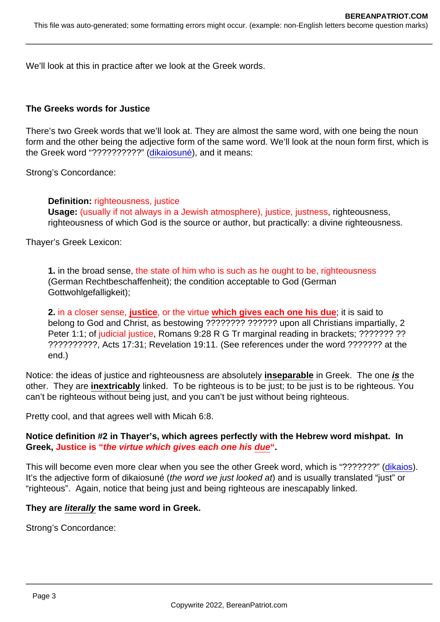We'll look at this in practice after we look at the Greek words.

The Greeks words for Justice

There's two Greek words that we'll look at. They are almost the same word, with one being the noun form and the other being the adjective form of the same word. We'll look at the noun form first, which is the Greek word "??????????" [\(dikaiosuné\)](https://biblehub.com/greek/1343.htm), and it means:

Strong's Concordance:

Definition: righteousness, justice Usage: (usually if not always in a Jewish atmosphere), justice, justness, righteousness, righteousness of which God is the source or author, but practically: a divine righteousness.

Thayer's Greek Lexicon:

1. in the broad sense, the state of him who is such as he ought to be, righteousness (German Rechtbeschaffenheit); the condition acceptable to God (German Gottwohlgefalligkeit);

2. in a closer sense, justice , or the virtue which gives each one his due ; it is said to belong to God and Christ, as bestowing ???????? ?????? upon all Christians impartially, 2 Peter 1:1; of judicial justice, Romans 9:28 R G Tr marginal reading in brackets; ??????? ?? ??????????, Acts 17:31; Revelation 19:11. (See references under the word ??????? at the end.)

Notice: the ideas of justice and righteousness are absolutely inseparable in Greek. The one is the other. They are inextricably linked. To be righteous is to be just; to be just is to be righteous. You can't be righteous without being just, and you can't be just without being righteous.

Pretty cool, and that agrees well with Micah 6:8.

Notice definition #2 in Thayer's, which agrees perfectly with the Hebrew word mishpat. In Greek, Justice is " the virtue which gives each one his due".

This will become even more clear when you see the other Greek word, which is "???????" [\(dikaios\)](https://biblehub.com/greek/1342.htm). It's the adjective form of dikaiosuné (the word we just looked at) and is usually translated "just" or "righteous". Again, notice that being just and being righteous are inescapably linked.

They are literally the same word in Greek.

Strong's Concordance: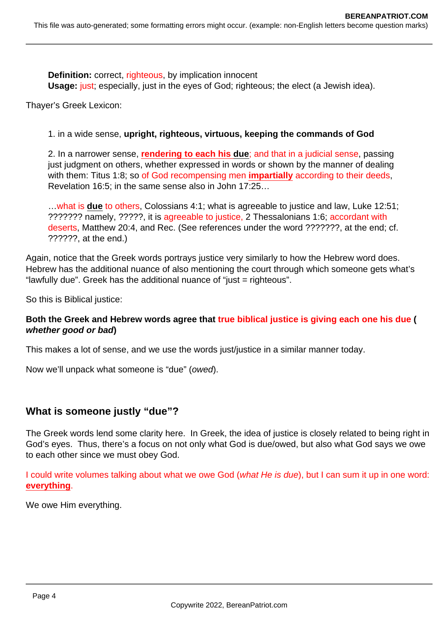**Definition:** correct, righteous, by implication innocent **Usage:** just; especially, just in the eyes of God; righteous; the elect (a Jewish idea).

Thayer's Greek Lexicon:

1. in a wide sense, **upright, righteous, virtuous, keeping the commands of God**

2. In a narrower sense, **rendering to each his due**; and that in a judicial sense, passing just judgment on others, whether expressed in words or shown by the manner of dealing with them: Titus 1:8; so of God recompensing men **impartially** according to their deeds, Revelation 16:5; in the same sense also in John 17:25…

…what is **due** to others, Colossians 4:1; what is agreeable to justice and law, Luke 12:51; ??????? namely, ?????, it is agreeable to justice, 2 Thessalonians 1:6; accordant with deserts, Matthew 20:4, and Rec. (See references under the word ???????, at the end; cf. ??????, at the end.)

Again, notice that the Greek words portrays justice very similarly to how the Hebrew word does. Hebrew has the additional nuance of also mentioning the court through which someone gets what's "lawfully due". Greek has the additional nuance of "just = righteous".

So this is Biblical justice:

## **Both the Greek and Hebrew words agree that true biblical justice is giving each one his due ( whether good or bad)**

This makes a lot of sense, and we use the words just/justice in a similar manner today.

Now we'll unpack what someone is "due" (owed).

# **What is someone justly "due"?**

The Greek words lend some clarity here. In Greek, the idea of justice is closely related to being right in God's eyes. Thus, there's a focus on not only what God is due/owed, but also what God says we owe to each other since we must obey God.

I could write volumes talking about what we owe God (*what He is due*), but I can sum it up in one word: **everything**.

We owe Him everything.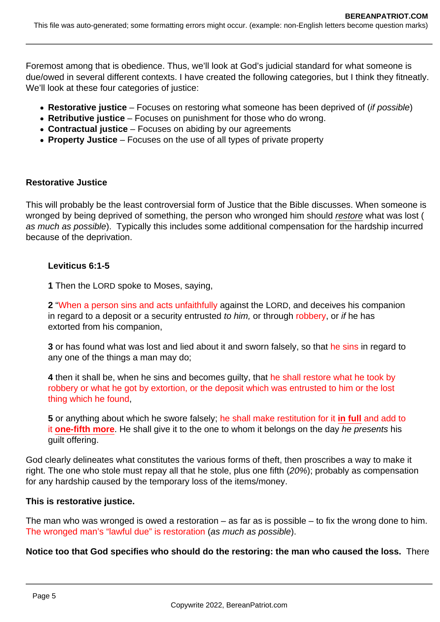Foremost among that is obedience. Thus, we'll look at God's judicial standard for what someone is due/owed in several different contexts. I have created the following categories, but I think they fitneatly. We'll look at these four categories of justice:

- **Restorative justice** Focuses on restoring what someone has been deprived of (if possible)
- **Retributive justice** Focuses on punishment for those who do wrong.
- **Contractual justice** Focuses on abiding by our agreements
- **Property Justice** Focuses on the use of all types of private property

### **Restorative Justice**

This will probably be the least controversial form of Justice that the Bible discusses. When someone is wronged by being deprived of something, the person who wronged him should restore what was lost ( as much as possible). Typically this includes some additional compensation for the hardship incurred because of the deprivation.

### **Leviticus 6:1-5**

**1** Then the LORD spoke to Moses, saying,

**2** "When a person sins and acts unfaithfully against the LORD, and deceives his companion in regard to a deposit or a security entrusted to him, or through robbery, or if he has extorted from his companion,

**3** or has found what was lost and lied about it and sworn falsely, so that he sins in regard to any one of the things a man may do;

**4** then it shall be, when he sins and becomes guilty, that he shall restore what he took by robbery or what he got by extortion, or the deposit which was entrusted to him or the lost thing which he found,

**5** or anything about which he swore falsely; he shall make restitution for it **in full** and add to it **one-fifth more**. He shall give it to the one to whom it belongs on the day he presents his guilt offering.

God clearly delineates what constitutes the various forms of theft, then proscribes a way to make it right. The one who stole must repay all that he stole, plus one fifth (20%); probably as compensation for any hardship caused by the temporary loss of the items/money.

## **This is restorative justice.**

The man who was wronged is owed a restoration – as far as is possible – to fix the wrong done to him. The wronged man's "lawful due" is restoration (as much as possible).

**Notice too that God specifies who should do the restoring: the man who caused the loss.** There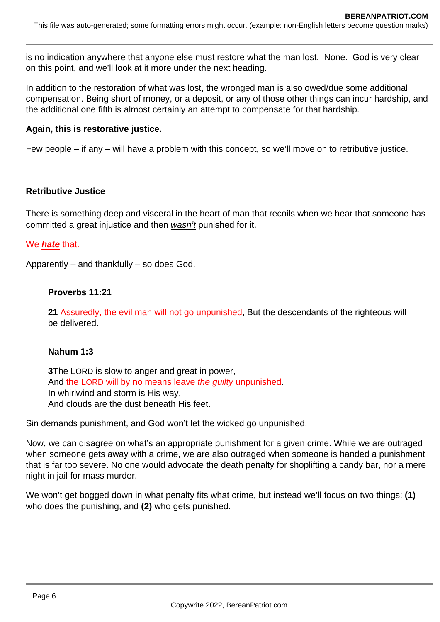is no indication anywhere that anyone else must restore what the man lost. None. God is very clear on this point, and we'll look at it more under the next heading.

In addition to the restoration of what was lost, the wronged man is also owed/due some additional compensation. Being short of money, or a deposit, or any of those other things can incur hardship, and the additional one fifth is almost certainly an attempt to compensate for that hardship.

## **Again, this is restorative justice.**

Few people – if any – will have a problem with this concept, so we'll move on to retributive justice.

### **Retributive Justice**

There is something deep and visceral in the heart of man that recoils when we hear that someone has committed a great injustice and then wasn't punished for it.

### We **hate** that.

Apparently – and thankfully – so does God.

### **Proverbs 11:21**

**21** Assuredly, the evil man will not go unpunished, But the descendants of the righteous will be delivered.

## **Nahum 1:3**

**3**The LORD is slow to anger and great in power, And the LORD will by no means leave the guilty unpunished. In whirlwind and storm is His way, And clouds are the dust beneath His feet.

Sin demands punishment, and God won't let the wicked go unpunished.

Now, we can disagree on what's an appropriate punishment for a given crime. While we are outraged when someone gets away with a crime, we are also outraged when someone is handed a punishment that is far too severe. No one would advocate the death penalty for shoplifting a candy bar, nor a mere night in jail for mass murder.

We won't get bogged down in what penalty fits what crime, but instead we'll focus on two things: **(1)** who does the punishing, and **(2)** who gets punished.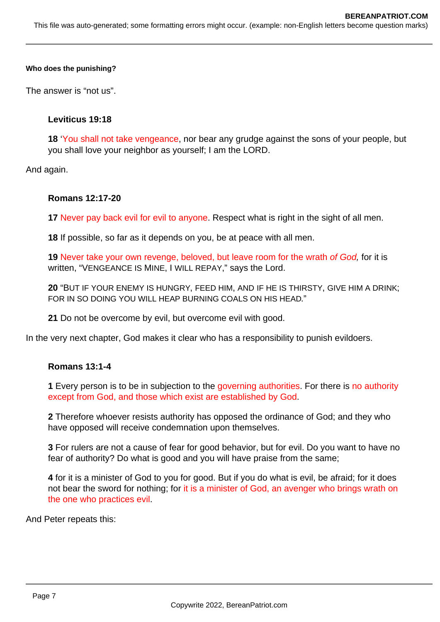#### **Who does the punishing?**

The answer is "not us".

#### **Leviticus 19:18**

**18** 'You shall not take vengeance, nor bear any grudge against the sons of your people, but you shall love your neighbor as yourself; I am the LORD.

And again.

#### **Romans 12:17-20**

**17** Never pay back evil for evil to anyone. Respect what is right in the sight of all men.

**18** If possible, so far as it depends on you, be at peace with all men.

19 Never take your own revenge, beloved, but leave room for the wrath of God, for it is written, "VENGEANCE IS MINE, I WILL REPAY," says the Lord.

**20** "BUT IF YOUR ENEMY IS HUNGRY, FEED HIM, AND IF HE IS THIRSTY, GIVE HIM A DRINK; FOR IN SO DOING YOU WILL HEAP BURNING COALS ON HIS HEAD."

**21** Do not be overcome by evil, but overcome evil with good.

In the very next chapter, God makes it clear who has a responsibility to punish evildoers.

#### **Romans 13:1-4**

**1** Every person is to be in subjection to the governing authorities. For there is no authority except from God, and those which exist are established by God.

**2** Therefore whoever resists authority has opposed the ordinance of God; and they who have opposed will receive condemnation upon themselves.

**3** For rulers are not a cause of fear for good behavior, but for evil. Do you want to have no fear of authority? Do what is good and you will have praise from the same;

**4** for it is a minister of God to you for good. But if you do what is evil, be afraid; for it does not bear the sword for nothing; for it is a minister of God, an avenger who brings wrath on the one who practices evil.

And Peter repeats this: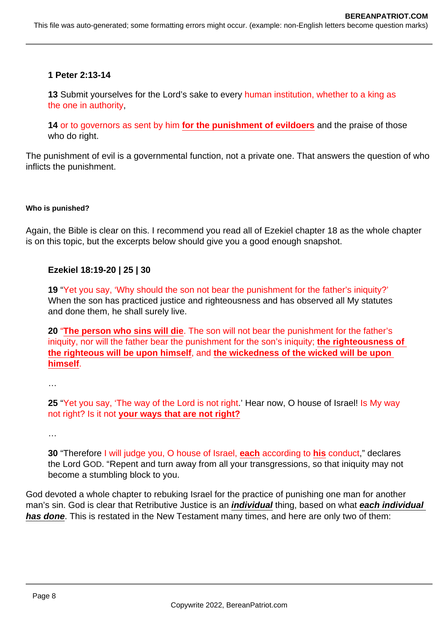This file was auto-generated; some formatting errors might occur. (example: non-English letters become question marks)

#### **1 Peter 2:13-14**

**13** Submit yourselves for the Lord's sake to every human institution, whether to a king as the one in authority,

**14** or to governors as sent by him **for the punishment of evildoers** and the praise of those who do right.

The punishment of evil is a governmental function, not a private one. That answers the question of who inflicts the punishment.

#### **Who is punished?**

Again, the Bible is clear on this. I recommend you read all of Ezekiel chapter 18 as the whole chapter is on this topic, but the excerpts below should give you a good enough snapshot.

#### **Ezekiel 18:19-20 | 25 | 30**

**19** "Yet you say, 'Why should the son not bear the punishment for the father's iniquity?' When the son has practiced justice and righteousness and has observed all My statutes and done them, he shall surely live.

**20** "**The person who sins will die**. The son will not bear the punishment for the father's iniquity, nor will the father bear the punishment for the son's iniquity; **the righteousness of the righteous will be upon himself**, and **the wickedness of the wicked will be upon himself**.

…

**25** "Yet you say, 'The way of the Lord is not right.' Hear now, O house of Israel! Is My way not right? Is it not **your ways that are not right?**

…

**30** "Therefore I will judge you, O house of Israel, **each** according to **his** conduct," declares the Lord GOD. "Repent and turn away from all your transgressions, so that iniquity may not become a stumbling block to you.

God devoted a whole chapter to rebuking Israel for the practice of punishing one man for another man's sin. God is clear that Retributive Justice is an **individual** thing, based on what **each individual has done**. This is restated in the New Testament many times, and here are only two of them: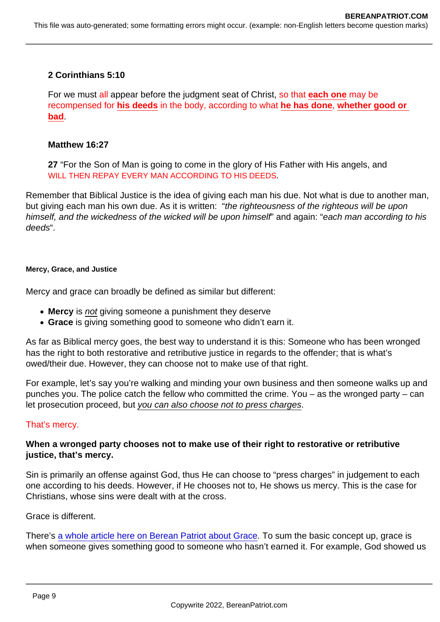2 Corinthians 5:10

For we must all appear before the judgment seat of Christ, so that each one may be recompensed for his deeds in the body, according to what he has done , whether good or bad.

Matthew 16:27

27 "For the Son of Man is going to come in the glory of His Father with His angels, and WILL THEN REPAY EVERY MAN ACCORDING TO HIS DEEDS.

Remember that Biblical Justice is the idea of giving each man his due. Not what is due to another man, but giving each man his own due. As it is written: "the righteousness of the righteous will be upon himself, and the wickedness of the wicked will be upon himself" and again: "each man according to his deeds".

Mercy, Grace, and Justice

Mercy and grace can broadly be defined as similar but different:

- Mercy is not giving someone a punishment they deserve
- Grace is giving something good to someone who didn't earn it.

As far as Biblical mercy goes, the best way to understand it is this: Someone who has been wronged has the right to both restorative and retributive justice in regards to the offender; that is what's owed/their due. However, they can choose not to make use of that right.

For example, let's say you're walking and minding your own business and then someone walks up and punches you. The police catch the fellow who committed the crime. You – as the wronged party – can let prosecution proceed, but you can also choose not to press charges.

## That's mercy.

When a wronged party chooses not to make use of their right to restorative or retributive justice, that's mercy.

Sin is primarily an offense against God, thus He can choose to "press charges" in judgement to each one according to his deeds. However, if He chooses not to, He shows us mercy. This is the case for Christians, whose sins were dealt with at the cross.

Grace is different.

There's [a whole article here on Berean Patriot about Grace](https://www.bereanpatriot.com/patronage-and-reciprocity-the-context-of-grace-in-the-new-testament/). To sum the basic concept up, grace is when someone gives something good to someone who hasn't earned it. For example, God showed us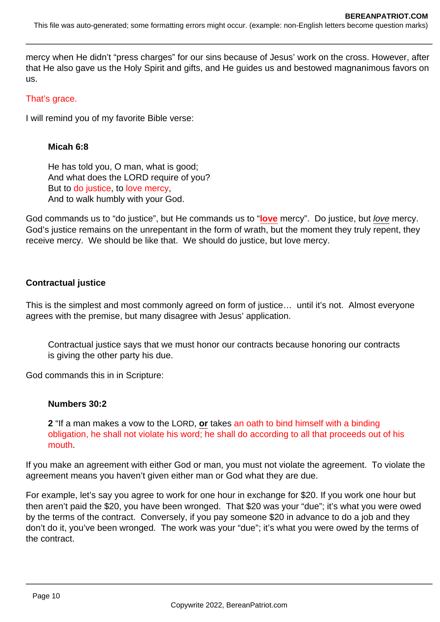mercy when He didn't "press charges" for our sins because of Jesus' work on the cross. However, after that He also gave us the Holy Spirit and gifts, and He guides us and bestowed magnanimous favors on us.

## That's grace.

I will remind you of my favorite Bible verse:

## **Micah 6:8**

He has told you, O man, what is good; And what does the LORD require of you? But to do justice, to love mercy, And to walk humbly with your God.

God commands us to "do justice", but He commands us to "**love** mercy". Do justice, but love mercy. God's justice remains on the unrepentant in the form of wrath, but the moment they truly repent, they receive mercy. We should be like that. We should do justice, but love mercy.

## **Contractual justice**

This is the simplest and most commonly agreed on form of justice… until it's not. Almost everyone agrees with the premise, but many disagree with Jesus' application.

Contractual justice says that we must honor our contracts because honoring our contracts is giving the other party his due.

God commands this in in Scripture:

## **Numbers 30:2**

**2** "If a man makes a vow to the LORD, **or** takes an oath to bind himself with a binding obligation, he shall not violate his word; he shall do according to all that proceeds out of his mouth.

If you make an agreement with either God or man, you must not violate the agreement. To violate the agreement means you haven't given either man or God what they are due.

For example, let's say you agree to work for one hour in exchange for \$20. If you work one hour but then aren't paid the \$20, you have been wronged. That \$20 was your "due"; it's what you were owed by the terms of the contract. Conversely, if you pay someone \$20 in advance to do a job and they don't do it, you've been wronged. The work was your "due"; it's what you were owed by the terms of the contract.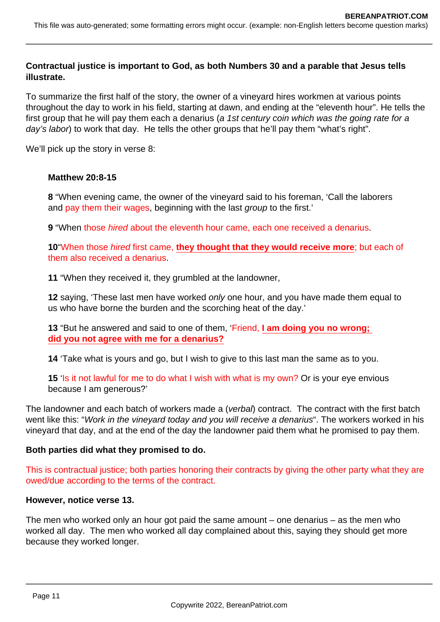## **Contractual justice is important to God, as both Numbers 30 and a parable that Jesus tells illustrate.**

To summarize the first half of the story, the owner of a vineyard hires workmen at various points throughout the day to work in his field, starting at dawn, and ending at the "eleventh hour". He tells the first group that he will pay them each a denarius (a 1st century coin which was the going rate for a day's labor) to work that day. He tells the other groups that he'll pay them "what's right".

We'll pick up the story in verse 8:

### **Matthew 20:8-15**

**8** "When evening came, the owner of the vineyard said to his foreman, 'Call the laborers and pay them their wages, beginning with the last group to the first.'

**9** "When those hired about the eleventh hour came, each one received a denarius.

**10**"When those hired first came, **they thought that they would receive more**; but each of them also received a denarius.

**11** "When they received it, they grumbled at the landowner,

**12** saying, 'These last men have worked only one hour, and you have made them equal to us who have borne the burden and the scorching heat of the day.'

**13** "But he answered and said to one of them, 'Friend, **I am doing you no wrong; did you not agree with me for a denarius?**

**14** 'Take what is yours and go, but I wish to give to this last man the same as to you.

**15** 'Is it not lawful for me to do what I wish with what is my own? Or is your eye envious because I am generous?'

The landowner and each batch of workers made a (verbal) contract. The contract with the first batch went like this: "Work in the vineyard today and you will receive a denarius". The workers worked in his vineyard that day, and at the end of the day the landowner paid them what he promised to pay them.

## **Both parties did what they promised to do.**

This is contractual justice; both parties honoring their contracts by giving the other party what they are owed/due according to the terms of the contract.

### **However, notice verse 13.**

The men who worked only an hour got paid the same amount – one denarius – as the men who worked all day. The men who worked all day complained about this, saying they should get more because they worked longer.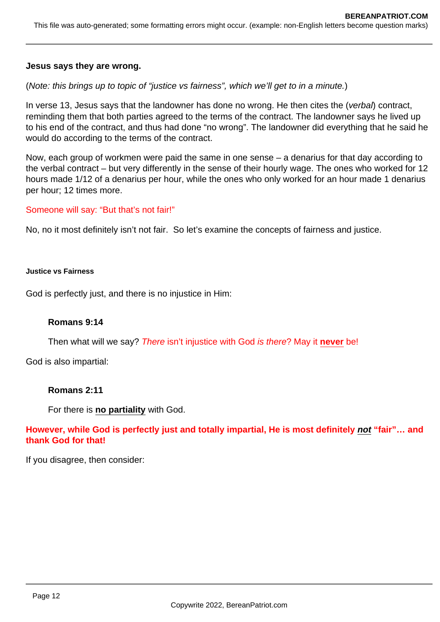### **Jesus says they are wrong.**

(Note: this brings up to topic of "justice vs fairness", which we'll get to in a minute.)

In verse 13, Jesus says that the landowner has done no wrong. He then cites the (verbal) contract, reminding them that both parties agreed to the terms of the contract. The landowner says he lived up to his end of the contract, and thus had done "no wrong". The landowner did everything that he said he would do according to the terms of the contract.

Now, each group of workmen were paid the same in one sense – a denarius for that day according to the verbal contract – but very differently in the sense of their hourly wage. The ones who worked for 12 hours made 1/12 of a denarius per hour, while the ones who only worked for an hour made 1 denarius per hour; 12 times more.

### Someone will say: "But that's not fair!"

No, no it most definitely isn't not fair. So let's examine the concepts of fairness and justice.

#### **Justice vs Fairness**

God is perfectly just, and there is no injustice in Him:

### **Romans 9:14**

Then what will we say? There isn't injustice with God is there? May it **never** be!

God is also impartial:

#### **Romans 2:11**

For there is **no partiality** with God.

## **However, while God is perfectly just and totally impartial, He is most definitely not "fair"… and thank God for that!**

If you disagree, then consider: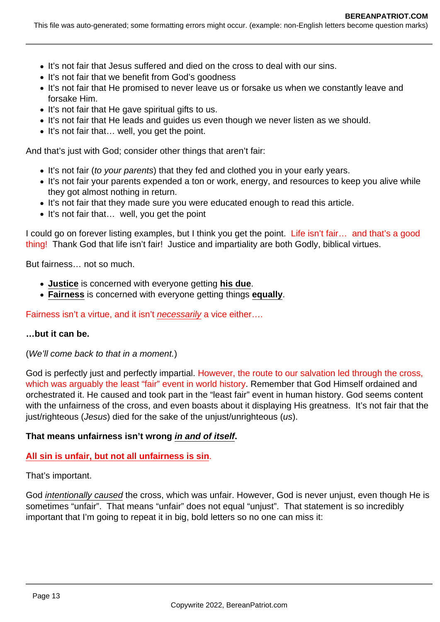- It's not fair that Jesus suffered and died on the cross to deal with our sins.
- It's not fair that we benefit from God's goodness
- It's not fair that He promised to never leave us or forsake us when we constantly leave and forsake Him.
- It's not fair that He gave spiritual gifts to us.
- It's not fair that He leads and guides us even though we never listen as we should.
- It's not fair that... well, you get the point.

And that's just with God; consider other things that aren't fair:

- It's not fair (to your parents) that they fed and clothed you in your early years.
- It's not fair your parents expended a ton or work, energy, and resources to keep you alive while they got almost nothing in return.
- It's not fair that they made sure you were educated enough to read this article.
- It's not fair that... well, you get the point

I could go on forever listing examples, but I think you get the point. Life isn't fair... and that's a good thing! Thank God that life isn't fair! Justice and impartiality are both Godly, biblical virtues.

But fairness… not so much.

- **Justice** is concerned with everyone getting **his due**.
- **Fairness** is concerned with everyone getting things **equally**.

Fairness isn't a virtue, and it isn't necessarily a vice either....

### **…but it can be.**

(We'll come back to that in a moment.)

God is perfectly just and perfectly impartial. However, the route to our salvation led through the cross, which was arguably the least "fair" event in world history. Remember that God Himself ordained and orchestrated it. He caused and took part in the "least fair" event in human history. God seems content with the unfairness of the cross, and even boasts about it displaying His greatness. It's not fair that the just/righteous (Jesus) died for the sake of the unjust/unrighteous (us).

### **That means unfairness isn't wrong in and of itself.**

## **All sin is unfair, but not all unfairness is sin**.

That's important.

God intentionally caused the cross, which was unfair. However, God is never unjust, even though He is sometimes "unfair". That means "unfair" does not equal "unjust". That statement is so incredibly important that I'm going to repeat it in big, bold letters so no one can miss it: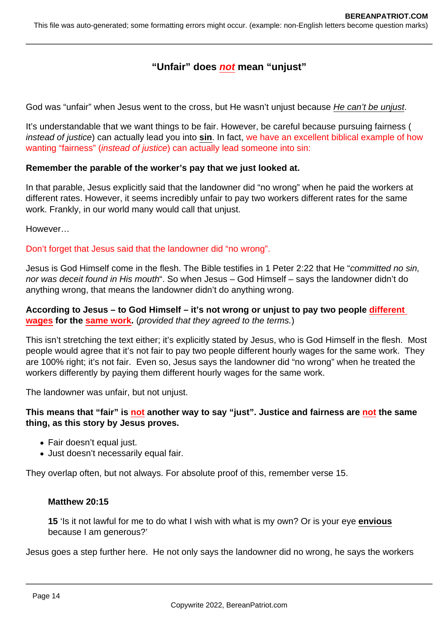# **"Unfair" does not mean "unjust"**

God was "unfair" when Jesus went to the cross, but He wasn't unjust because He can't be unjust.

It's understandable that we want things to be fair. However, be careful because pursuing fairness ( instead of justice) can actually lead you into **sin**. In fact, we have an excellent biblical example of how wanting "fairness" (*instead of justice*) can actually lead someone into sin:

### **Remember the parable of the worker's pay that we just looked at.**

In that parable, Jesus explicitly said that the landowner did "no wrong" when he paid the workers at different rates. However, it seems incredibly unfair to pay two workers different rates for the same work. Frankly, in our world many would call that unjust.

However…

Don't forget that Jesus said that the landowner did "no wrong".

Jesus is God Himself come in the flesh. The Bible testifies in 1 Peter 2:22 that He "committed no sin, nor was deceit found in His mouth". So when Jesus – God Himself – says the landowner didn't do anything wrong, that means the landowner didn't do anything wrong.

### **According to Jesus – to God Himself – it's not wrong or unjust to pay two people different wages for the same work.** (provided that they agreed to the terms.)

This isn't stretching the text either; it's explicitly stated by Jesus, who is God Himself in the flesh. Most people would agree that it's not fair to pay two people different hourly wages for the same work. They are 100% right; it's not fair. Even so, Jesus says the landowner did "no wrong" when he treated the workers differently by paying them different hourly wages for the same work.

The landowner was unfair, but not unjust.

### **This means that "fair" is not another way to say "just". Justice and fairness are not the same thing, as this story by Jesus proves.**

- Fair doesn't equal just.
- Just doesn't necessarily equal fair.

They overlap often, but not always. For absolute proof of this, remember verse 15.

### **Matthew 20:15**

**15** 'Is it not lawful for me to do what I wish with what is my own? Or is your eye **envious** because I am generous?'

Jesus goes a step further here. He not only says the landowner did no wrong, he says the workers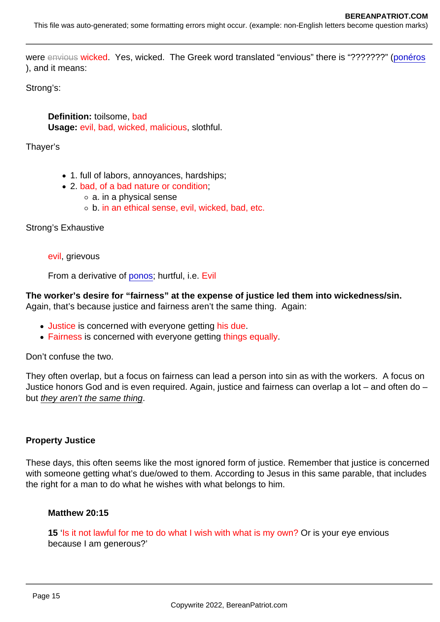were envious wicked. Yes, wicked. The Greek word translated "envious" there is "???????" ([ponéros](https://biblehub.com/greek/4190.htm) ), and it means:

Strong's:

Definition: toilsome, bad Usage: evil, bad, wicked, malicious, slothful.

Thayer's

- 1. full of labors, annoyances, hardships;
- 2. bad, of a bad nature or condition;
	- a. in a physical sense
	- b. in an ethical sense, evil, wicked, bad, etc.

Strong's Exhaustive

evil, grievous

From a derivative of [ponos](https://biblehub.com/greek/4192.htm); hurtful, i.e. Evil

The worker's desire for "fairness" at the expense of justice led them into wickedness/sin. Again, that's because justice and fairness aren't the same thing. Again:

- Justice is concerned with everyone getting his due.
- Fairness is concerned with everyone getting things equally.

Don't confuse the two.

They often overlap, but a focus on fairness can lead a person into sin as with the workers. A focus on Justice honors God and is even required. Again, justice and fairness can overlap a lot – and often do – but they aren't the same thing.

Property Justice

These days, this often seems like the most ignored form of justice. Remember that justice is concerned with someone getting what's due/owed to them. According to Jesus in this same parable, that includes the right for a man to do what he wishes with what belongs to him.

Matthew 20:15

15 'Is it not lawful for me to do what I wish with what is my own? Or is your eye envious because I am generous?'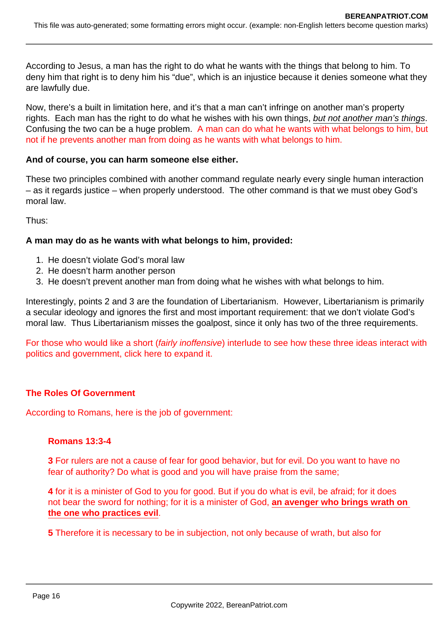According to Jesus, a man has the right to do what he wants with the things that belong to him. To deny him that right is to deny him his "due", which is an injustice because it denies someone what they are lawfully due.

Now, there's a built in limitation here, and it's that a man can't infringe on another man's property rights. Each man has the right to do what he wishes with his own things, but not another man's things. Confusing the two can be a huge problem. A man can do what he wants with what belongs to him, but not if he prevents another man from doing as he wants with what belongs to him.

## **And of course, you can harm someone else either.**

These two principles combined with another command regulate nearly every single human interaction – as it regards justice – when properly understood. The other command is that we must obey God's moral law.

Thus:

## **A man may do as he wants with what belongs to him, provided:**

- 1. He doesn't violate God's moral law
- 2. He doesn't harm another person
- 3. He doesn't prevent another man from doing what he wishes with what belongs to him.

Interestingly, points 2 and 3 are the foundation of Libertarianism. However, Libertarianism is primarily a secular ideology and ignores the first and most important requirement: that we don't violate God's moral law. Thus Libertarianism misses the goalpost, since it only has two of the three requirements.

For those who would like a short (fairly inoffensive) interlude to see how these three ideas interact with politics and government, click here to expand it.

## **The Roles Of Government**

According to Romans, here is the job of government:

## **Romans 13:3-4**

**3** For rulers are not a cause of fear for good behavior, but for evil. Do you want to have no fear of authority? Do what is good and you will have praise from the same;

**4** for it is a minister of God to you for good. But if you do what is evil, be afraid; for it does not bear the sword for nothing; for it is a minister of God, **an avenger who brings wrath on the one who practices evil**.

**5** Therefore it is necessary to be in subjection, not only because of wrath, but also for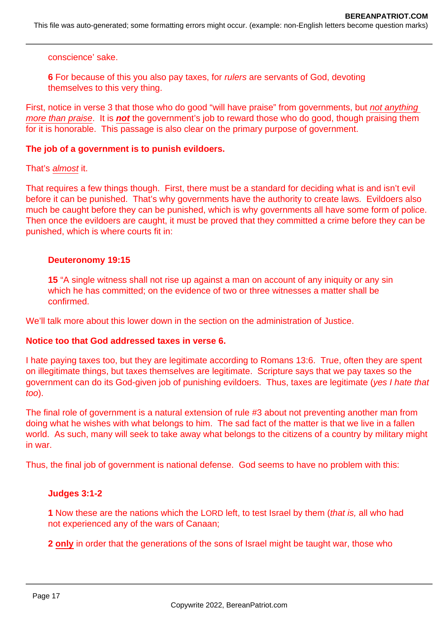This file was auto-generated; some formatting errors might occur. (example: non-English letters become question marks)

conscience' sake.

**6** For because of this you also pay taxes, for rulers are servants of God, devoting themselves to this very thing.

First, notice in verse 3 that those who do good "will have praise" from governments, but not anything more than praise. It is **not** the government's job to reward those who do good, though praising them for it is honorable. This passage is also clear on the primary purpose of government.

#### **The job of a government is to punish evildoers.**

That's almost it.

That requires a few things though. First, there must be a standard for deciding what is and isn't evil before it can be punished. That's why governments have the authority to create laws. Evildoers also much be caught before they can be punished, which is why governments all have some form of police. Then once the evildoers are caught, it must be proved that they committed a crime before they can be punished, which is where courts fit in:

#### **Deuteronomy 19:15**

**15** "A single witness shall not rise up against a man on account of any iniquity or any sin which he has committed; on the evidence of two or three witnesses a matter shall be confirmed.

We'll talk more about this lower down in the section on the administration of Justice.

### **Notice too that God addressed taxes in verse 6.**

I hate paying taxes too, but they are legitimate according to Romans 13:6. True, often they are spent on illegitimate things, but taxes themselves are legitimate. Scripture says that we pay taxes so the government can do its God-given job of punishing evildoers. Thus, taxes are legitimate (yes I hate that too).

The final role of government is a natural extension of rule #3 about not preventing another man from doing what he wishes with what belongs to him. The sad fact of the matter is that we live in a fallen world. As such, many will seek to take away what belongs to the citizens of a country by military might in war.

Thus, the final job of government is national defense. God seems to have no problem with this:

### **Judges 3:1-2**

**1** Now these are the nations which the LORD left, to test Israel by them (that is, all who had not experienced any of the wars of Canaan;

**2 only** in order that the generations of the sons of Israel might be taught war, those who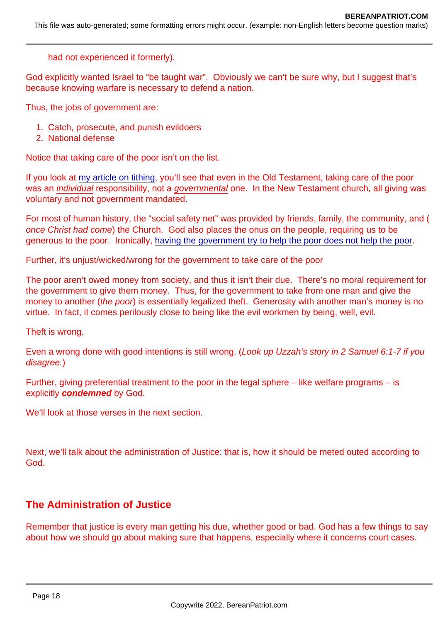had not experienced it formerly).

God explicitly wanted Israel to "be taught war". Obviously we can't be sure why, but I suggest that's because knowing warfare is necessary to defend a nation.

Thus, the jobs of government are:

- 1. Catch, prosecute, and punish evildoers
- 2. National defense

Notice that taking care of the poor isn't on the list.

If you look at [my article on tithing,](https://www.bereanpatriot.com/is-tithing-biblical-with-the-context-most-people-miss/) you'll see that even in the Old Testament, taking care of the poor was an individual responsibility, not a governmental one. In the New Testament church, all giving was voluntary and not government mandated.

For most of human history, the "social safety net" was provided by friends, family, the community, and ( once Christ had come) the Church. God also places the onus on the people, requiring us to be generous to the poor. Ironically, [having the government try to help the poor does not help the poor.](https://fee.org/articles/does-welfare-diminish-poverty/)

Further, it's unjust/wicked/wrong for the government to take care of the poor

The poor aren't owed money from society, and thus it isn't their due. There's no moral requirement for the government to give them money. Thus, for the government to take from one man and give the money to another (the poor) is essentially legalized theft. Generosity with another man's money is no virtue. In fact, it comes perilously close to being like the evil workmen by being, well, evil.

Theft is wrong.

Even a wrong done with good intentions is still wrong. (Look up Uzzah's story in 2 Samuel 6:1-7 if you disagree.)

Further, giving preferential treatment to the poor in the legal sphere – like welfare programs – is explicitly condemned by God.

We'll look at those verses in the next section.

Next, we'll talk about the administration of Justice: that is, how it should be meted outed according to God.

# The Administration of Justice

Remember that justice is every man getting his due, whether good or bad. God has a few things to say about how we should go about making sure that happens, especially where it concerns court cases.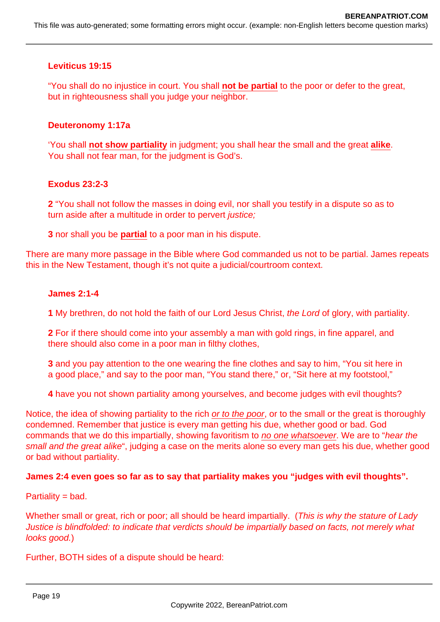## **Leviticus 19:15**

"You shall do no injustice in court. You shall **not be partial** to the poor or defer to the great, but in righteousness shall you judge your neighbor.

### **Deuteronomy 1:17a**

'You shall **not show partiality** in judgment; you shall hear the small and the great **alike**. You shall not fear man, for the judgment is God's.

#### **Exodus 23:2-3**

**2** "You shall not follow the masses in doing evil, nor shall you testify in a dispute so as to turn aside after a multitude in order to pervert *justice*;

**3** nor shall you be **partial** to a poor man in his dispute.

There are many more passage in the Bible where God commanded us not to be partial. James repeats this in the New Testament, though it's not quite a judicial/courtroom context.

#### **James 2:1-4**

**1** My brethren, do not hold the faith of our Lord Jesus Christ, the Lord of glory, with partiality.

**2** For if there should come into your assembly a man with gold rings, in fine apparel, and there should also come in a poor man in filthy clothes,

- **3** and you pay attention to the one wearing the fine clothes and say to him, "You sit here in a good place," and say to the poor man, "You stand there," or, "Sit here at my footstool,"
- **4** have you not shown partiality among yourselves, and become judges with evil thoughts?

Notice, the idea of showing partiality to the rich or to the poor, or to the small or the great is thoroughly condemned. Remember that justice is every man getting his due, whether good or bad. God commands that we do this impartially, showing favoritism to no one whatsoever. We are to "hear the small and the great alike", judging a case on the merits alone so every man gets his due, whether good or bad without partiality.

### **James 2:4 even goes so far as to say that partiality makes you "judges with evil thoughts".**

Partiality = bad.

Whether small or great, rich or poor; all should be heard impartially. (This is why the stature of Lady Justice is blindfolded: to indicate that verdicts should be impartially based on facts, not merely what looks aood.)

Further, BOTH sides of a dispute should be heard: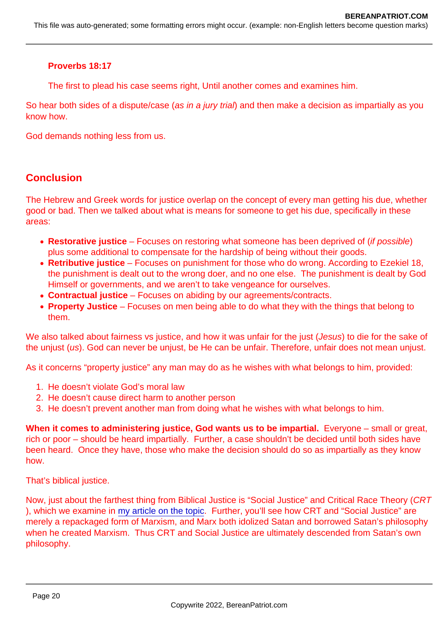Proverbs 18:17

The first to plead his case seems right, Until another comes and examines him.

So hear both sides of a dispute/case (as in a jury trial) and then make a decision as impartially as you know how.

God demands nothing less from us.

# **Conclusion**

The Hebrew and Greek words for justice overlap on the concept of every man getting his due, whether good or bad. Then we talked about what is means for someone to get his due, specifically in these areas:

- Restorative justice Focuses on restoring what someone has been deprived of (if possible) plus some additional to compensate for the hardship of being without their goods.
- Retributive justice Focuses on punishment for those who do wrong. According to Ezekiel 18, the punishment is dealt out to the wrong doer, and no one else. The punishment is dealt by God Himself or governments, and we aren't to take vengeance for ourselves.
- Contractual justice Focuses on abiding by our agreements/contracts.
- Property Justice Focuses on men being able to do what they with the things that belong to them.

We also talked about fairness vs justice, and how it was unfair for the just (Jesus) to die for the sake of the unjust (us). God can never be unjust, be He can be unfair. Therefore, unfair does not mean unjust.

As it concerns "property justice" any man may do as he wishes with what belongs to him, provided:

- 1. He doesn't violate God's moral law
- 2. He doesn't cause direct harm to another person
- 3. He doesn't prevent another man from doing what he wishes with what belongs to him.

When it comes to administering justice, God wants us to be impartial. Everyone – small or great, rich or poor – should be heard impartially. Further, a case shouldn't be decided until both sides have been heard. Once they have, those who make the decision should do so as impartially as they know how.

That's biblical justice.

Now, just about the farthest thing from Biblical Justice is "Social Justice" and Critical Race Theory (CRT ), which we examine in [my article on the topic](https://www.bereanpatriot.com/what-are-social-justice-and-critical-race-theory-crt-and-are-they-biblical/). Further, you'll see how CRT and "Social Justice" are merely a repackaged form of Marxism, and Marx both idolized Satan and borrowed Satan's philosophy when he created Marxism. Thus CRT and Social Justice are ultimately descended from Satan's own philosophy.